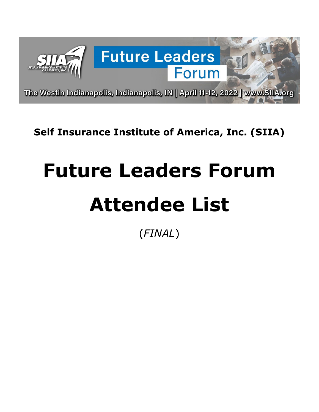

# **Self Insurance Institute of America, Inc. (SIIA)**

# **Future Leaders Forum Attendee List**

(*FINAL*)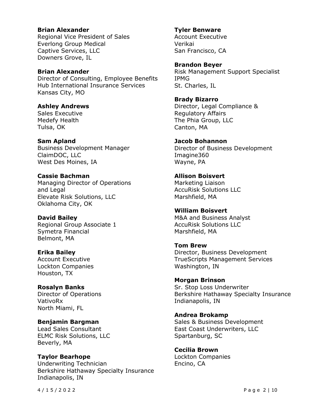#### **Brian Alexander**

Regional Vice President of Sales Everlong Group Medical Captive Services, LLC Downers Grove, IL

#### **Brian Alexander**

Director of Consulting, Employee Benefits Hub International Insurance Services Kansas City, MO

#### **Ashley Andrews**

Sales Executive Medefy Health Tulsa, OK

#### **Sam Apland**

Business Development Manager ClaimDOC, LLC West Des Moines, IA

#### **Cassie Bachman**

Managing Director of Operations and Legal Elevate Risk Solutions, LLC Oklahoma City, OK

#### **David Bailey**

Regional Group Associate 1 Symetra Financial Belmont, MA

#### **Erika Bailey**

Account Executive Lockton Companies Houston, TX

#### **Rosalyn Banks**

Director of Operations VativoRx North Miami, FL

#### **Benjamin Bargman**

Lead Sales Consultant ELMC Risk Solutions, LLC Beverly, MA

# **Taylor Bearhope**

Underwriting Technician Berkshire Hathaway Specialty Insurance Indianapolis, IN

#### **Tyler Benware**

Account Executive Verikai San Francisco, CA

#### **Brandon Beyer**

Risk Management Support Specialist IPMG St. Charles, IL

#### **Brady Bizarro**

Director, Legal Compliance & Regulatory Affairs The Phia Group, LLC Canton, MA

#### **Jacob Bohannon**

Director of Business Development Imagine360 Wayne, PA

#### **Allison Boisvert**

Marketing Liaison AccuRisk Solutions LLC Marshfield, MA

#### **William Boisvert**

M&A and Business Analyst AccuRisk Solutions LLC Marshfield, MA

# **Tom Brew**

Director, Business Development TrueScripts Management Services Washington, IN

# **Morgan Brinson**

Sr. Stop Loss Underwriter Berkshire Hathaway Specialty Insurance Indianapolis, IN

#### **Andrea Brokamp**

Sales & Business Development East Coast Underwriters, LLC Spartanburg, SC

#### **Cecilia Brown** Lockton Companies Encino, CA

4 / 1 5 /2022 Page 2 | 10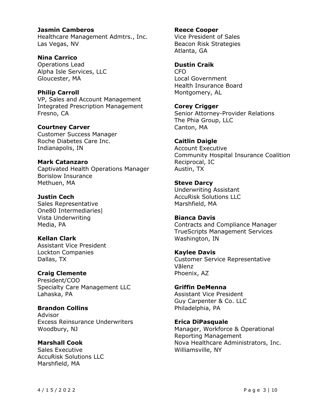#### **Jasmin Camberos**

Healthcare Management Admtrs., Inc. Las Vegas, NV

**Nina Carrico**

Operations Lead Alpha Isle Services, LLC Gloucester, MA

#### **Philip Carroll**

VP, Sales and Account Management Integrated Prescription Management Fresno, CA

**Courtney Carver**

Customer Success Manager Roche Diabetes Care Inc. Indianapolis, IN

#### **Mark Catanzaro**

Captivated Health Operations Manager Borislow Insurance Methuen, MA

#### **Justin Cech**

Sales Representative One80 Intermediaries| Vista Underwriting Media, PA

#### **Kellan Clark**

Assistant Vice President Lockton Companies Dallas, TX

**Craig Clemente**

President/COO Specialty Care Management LLC Lahaska, PA

**Brandon Collins** Advisor Excess Reinsurance Underwriters Woodbury, NJ

**Marshall Cook** Sales Executive AccuRisk Solutions LLC Marshfield, MA

#### **Reece Cooper**

Vice President of Sales Beacon Risk Strategies Atlanta, GA

#### **Dustin Craik**

CFO Local Government Health Insurance Board Montgomery, AL

**Corey Crigger**

Senior Attorney-Provider Relations The Phia Group, LLC Canton, MA

#### **Caitlin Daigle**

Account Executive Community Hospital Insurance Coalition Reciprocal, IC Austin, TX

### **Steve Darcy**

Underwriting Assistant AccuRisk Solutions LLC Marshfield, MA

#### **Bianca Davis**

Contracts and Compliance Manager TrueScripts Management Services Washington, IN

#### **Kaylee Davis**

Customer Service Representative Vālenz Phoenix, AZ

**Griffin DeMenna** Assistant Vice President Guy Carpenter & Co. LLC Philadelphia, PA

**Erica DiPasquale**

Manager, Workforce & Operational Reporting Management Nova Healthcare Administrators, Inc. Williamsville, NY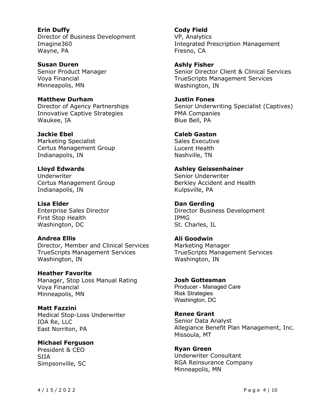**Erin Duffy** Director of Business Development Imagine360 Wayne, PA

**Susan Duren** Senior Product Manager Voya Financial Minneapolis, MN

**Matthew Durham** Director of Agency Partnerships Innovative Captive Strategies Waukee, IA

**Jackie Ebel** Marketing Specialist Certus Management Group Indianapolis, IN

#### **Lloyd Edwards** Underwriter Certus Management Group Indianapolis, IN

**Lisa Elder** Enterprise Sales Director First Stop Health Washington, DC

#### **Andrea Ellis** Director, Member and Clinical Services TrueScripts Management Services Washington, IN

**Heather Favorite** Manager, Stop Loss Manual Rating Voya Financial Minneapolis, MN

**Matt Fazzini** Medical Stop-Loss Underwriter IOA Re, LLC East Norriton, PA

**Michael Ferguson** President & CEO SIIA Simpsonville, SC

**Cody Field** VP, Analytics Integrated Prescription Management Fresno, CA

**Ashly Fisher** Senior Director Client & Clinical Services TrueScripts Management Services Washington, IN

**Justin Fones** Senior Underwriting Specialist (Captives) PMA Companies Blue Bell, PA

**Caleb Gaston** Sales Executive Lucent Health Nashville, TN

**Ashley Geissenhainer** Senior Underwriter Berkley Accident and Health Kulpsville, PA

**Dan Gerding** Director Business Development IPMG St. Charles, IL

**Ali Goodwin** Marketing Manager TrueScripts Management Services Washington, IN

**Josh Gottesman** Producer - Managed Care Risk Strategies Washington, DC

**Renee Grant** Senior Data Analyst Allegiance Benefit Plan Management, Inc. Missoula, MT

**Ryan Green** Underwriter Consultant RGA Reinsurance Company Minneapolis, MN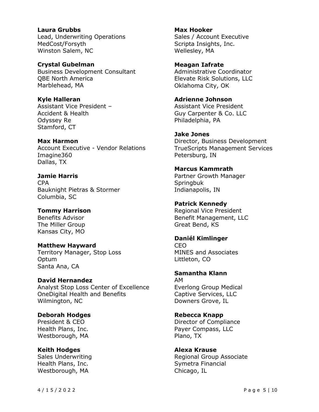**Laura Grubbs** Lead, Underwriting Operations MedCost/Forsyth Winston Salem, NC

**Crystal Gubelman** Business Development Consultant QBE North America Marblehead, MA

**Kyle Halleran** Assistant Vice President – Accident & Health Odyssey Re Stamford, CT

**Max Harmon** Account Executive - Vendor Relations Imagine360 Dallas, TX

**Jamie Harris** CPA Bauknight Pietras & Stormer Columbia, SC

**Tommy Harrison** Benefits Advisor The Miller Group Kansas City, MO

**Matthew Hayward** Territory Manager, Stop Loss **Optum** Santa Ana, CA

**David Hernandez** Analyst Stop Loss Center of Excellence OneDigital Health and Benefits Wilmington, NC

**Deborah Hodges** President & CEO Health Plans, Inc. Westborough, MA

**Keith Hodges** Sales Underwriting Health Plans, Inc. Westborough, MA

**Max Hooker** Sales / Account Executive Scripta Insights, Inc. Wellesley, MA

**Meagan Iafrate** Administrative Coordinator Elevate Risk Solutions, LLC Oklahoma City, OK

**Adrienne Johnson** Assistant Vice President Guy Carpenter & Co. LLC Philadelphia, PA

**Jake Jones** Director, Business Development TrueScripts Management Services Petersburg, IN

**Marcus Kammrath** Partner Growth Manager **Springbuk** Indianapolis, IN

**Patrick Kennedy** Regional Vice President Benefit Management, LLC Great Bend, KS

**Daniél Kimlinger** CEO MINES and Associates Littleton, CO

**Samantha Klann** AM Everlong Group Medical Captive Services, LLC Downers Grove, IL

**Rebecca Knapp** Director of Compliance Payer Compass, LLC Plano, TX

**Alexa Krause** Regional Group Associate Symetra Financial Chicago, IL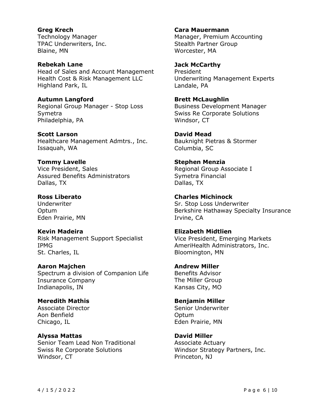**Greg Krech** Technology Manager TPAC Underwriters, Inc. Blaine, MN

**Rebekah Lane** Head of Sales and Account Management Health Cost & Risk Management LLC Highland Park, IL

**Autumn Langford** Regional Group Manager - Stop Loss Symetra Philadelphia, PA

**Scott Larson** Healthcare Management Admtrs., Inc. Issaquah, WA

**Tommy Lavelle** Vice President, Sales Assured Benefits Administrators Dallas, TX

**Ross Liberato** Underwriter Optum Eden Prairie, MN

**Kevin Madeira** Risk Management Support Specialist IPMG St. Charles, IL

**Aaron Majchen** Spectrum a division of Companion Life Insurance Company Indianapolis, IN

**Meredith Mathis** Associate Director Aon Benfield Chicago, IL

**Alyssa Mattas** Senior Team Lead Non Traditional Swiss Re Corporate Solutions Windsor, CT

**Cara Mauermann** Manager, Premium Accounting Stealth Partner Group Worcester, MA

**Jack McCarthy** President Underwriting Management Experts Landale, PA

**Brett McLaughlin** Business Development Manager Swiss Re Corporate Solutions Windsor, CT

**David Mead** Bauknight Pietras & Stormer Columbia, SC

**Stephen Menzia** Regional Group Associate I Symetra Financial Dallas, TX

**Charles Michinock** Sr. Stop Loss Underwriter Berkshire Hathaway Specialty Insurance Irvine, CA

**Elizabeth Midtlien** Vice President, Emerging Markets AmeriHealth Administrators, Inc. Bloomington, MN

**Andrew Miller** Benefits Advisor The Miller Group Kansas City, MO

**Benjamin Miller** Senior Underwriter **Optum** Eden Prairie, MN

**David Miller** Associate Actuary Windsor Strategy Partners, Inc. Princeton, NJ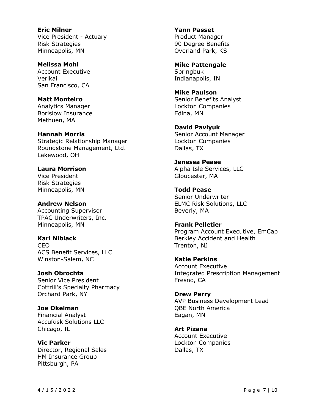**Eric Milner** Vice President - Actuary Risk Strategies Minneapolis, MN

**Melissa Mohl** Account Executive Verikai San Francisco, CA

**Matt Monteiro**

Analytics Manager Borislow Insurance Methuen, MA

**Hannah Morris** Strategic Relationship Manager Roundstone Management, Ltd. Lakewood, OH

**Laura Morrison** Vice President Risk Strategies Minneapolis, MN

**Andrew Nelson** Accounting Supervisor TPAC Underwriters, Inc. Minneapolis, MN

**Kari Niblack** CEO ACS Benefit Services, LLC Winston-Salem, NC

**Josh Obrochta** Senior Vice President Cottrill's Specialty Pharmacy Orchard Park, NY

**Joe Okelman** Financial Analyst AccuRisk Solutions LLC Chicago, IL

**Vic Parker** Director, Regional Sales HM Insurance Group Pittsburgh, PA

**Yann Passet** Product Manager 90 Degree Benefits Overland Park, KS

**Mike Pattengale Springbuk** Indianapolis, IN

**Mike Paulson** Senior Benefits Analyst Lockton Companies Edina, MN

**David Pavlyuk** Senior Account Manager Lockton Companies Dallas, TX

**Jenessa Pease** Alpha Isle Services, LLC Gloucester, MA

**Todd Pease** Senior Underwriter ELMC Risk Solutions, LLC Beverly, MA

**Frank Pelletier** Program Account Executive, EmCap Berkley Accident and Health Trenton, NJ

**Katie Perkins** Account Executive Integrated Prescription Management Fresno, CA

**Drew Perry** AVP Business Development Lead QBE North America Eagan, MN

**Art Pizana** Account Executive Lockton Companies Dallas, TX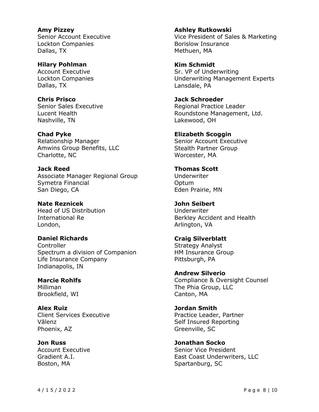**Amy Pizzey** Senior Account Executive Lockton Companies Dallas, TX

**Hilary Pohlman** Account Executive Lockton Companies Dallas, TX

**Chris Prisco** Senior Sales Executive Lucent Health Nashville, TN

**Chad Pyke** Relationship Manager Amwins Group Benefits, LLC Charlotte, NC

**Jack Reed** Associate Manager Regional Group Symetra Financial San Diego, CA

**Nate Reznicek** Head of US Distribution International Re London,

**Daniel Richards Controller** Spectrum a division of Companion Life Insurance Company Indianapolis, IN

**Marcie Rohlfs** Milliman Brookfield, WI

**Alex Ruiz** Client Services Executive Vālenz Phoenix, AZ

**Jon Russ** Account Executive Gradient A.I. Boston, MA

**Ashley Rutkowski** Vice President of Sales & Marketing Borislow Insurance Methuen, MA

**Kim Schmidt** Sr. VP of Underwriting Underwriting Management Experts Lansdale, PA

**Jack Schroeder** Regional Practice Leader Roundstone Management, Ltd. Lakewood, OH

**Elizabeth Scoggin** Senior Account Executive Stealth Partner Group Worcester, MA

**Thomas Scott** Underwriter Optum Eden Prairie, MN

**John Seibert** Underwriter Berkley Accident and Health Arlington, VA

**Craig Silverblatt** Strategy Analyst HM Insurance Group Pittsburgh, PA

**Andrew Silverio** Compliance & Oversight Counsel The Phia Group, LLC Canton, MA

**Jordan Smith** Practice Leader, Partner Self Insured Reporting Greenville, SC

**Jonathan Socko** Senior Vice President East Coast Underwriters, LLC Spartanburg, SC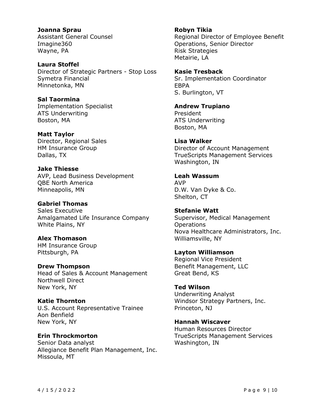**Joanna Sprau** Assistant General Counsel Imagine360 Wayne, PA

**Laura Stoffel** Director of Strategic Partners - Stop Loss Symetra Financial Minnetonka, MN

**Sal Taormina** Implementation Specialist ATS Underwriting Boston, MA

**Matt Taylor** Director, Regional Sales HM Insurance Group Dallas, TX

**Jake Thiesse** AVP, Lead Business Development QBE North America Minneapolis, MN

**Gabriel Thomas** Sales Executive Amalgamated Life Insurance Company White Plains, NY

**Alex Thomason** HM Insurance Group Pittsburgh, PA

**Drew Thompson** Head of Sales & Account Management Northwell Direct New York, NY

**Katie Thornton** U.S. Account Representative Trainee Aon Benfield New York, NY

**Erin Throckmorton** Senior Data analyst Allegiance Benefit Plan Management, Inc. Missoula, MT

**Robyn Tikia** Regional Director of Employee Benefit Operations, Senior Director Risk Strategies Metairie, LA

**Kasie Tresback** Sr. Implementation Coordinator EBPA S. Burlington, VT

**Andrew Trupiano** President ATS Underwriting Boston, MA

**Lisa Walker** Director of Account Management TrueScripts Management Services Washington, IN

**Leah Wassum** AVP D.W. Van Dyke & Co. Shelton, CT

**Stefanie Watt** Supervisor, Medical Management **Operations** Nova Healthcare Administrators, Inc. Williamsville, NY

**Layton Williamson** Regional Vice President Benefit Management, LLC Great Bend, KS

**Ted Wilson** Underwriting Analyst Windsor Strategy Partners, Inc. Princeton, NJ

**Hannah Wiscaver** Human Resources Director TrueScripts Management Services Washington, IN